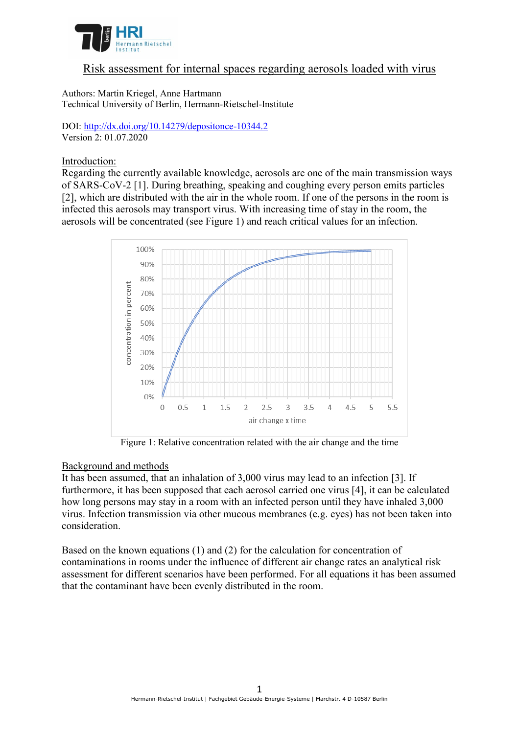

# Risk assessment for internal spaces regarding aerosols loaded with virus

Authors: Martin Kriegel, Anne Hartmann Technical University of Berlin, Hermann-Rietschel-Institute

DOI: <http://dx.doi.org/10.14279/depositonce-10344.2> Version 2: 01.07.2020

### Introduction:

Regarding the currently available knowledge, aerosols are one of the main transmission ways of SARS-CoV-2 [1]. During breathing, speaking and coughing every person emits particles [2], which are distributed with the air in the whole room. If one of the persons in the room is infected this aerosols may transport virus. With increasing time of stay in the room, the aerosols will be concentrated (see Figure 1) and reach critical values for an infection.



Figure 1: Relative concentration related with the air change and the time

## Background and methods

It has been assumed, that an inhalation of 3,000 virus may lead to an infection [3]. If furthermore, it has been supposed that each aerosol carried one virus [4], it can be calculated how long persons may stay in a room with an infected person until they have inhaled 3,000 virus. Infection transmission via other mucous membranes (e.g. eyes) has not been taken into consideration.

Based on the known equations (1) and (2) for the calculation for concentration of contaminations in rooms under the influence of different air change rates an analytical risk assessment for different scenarios have been performed. For all equations it has been assumed that the contaminant have been evenly distributed in the room.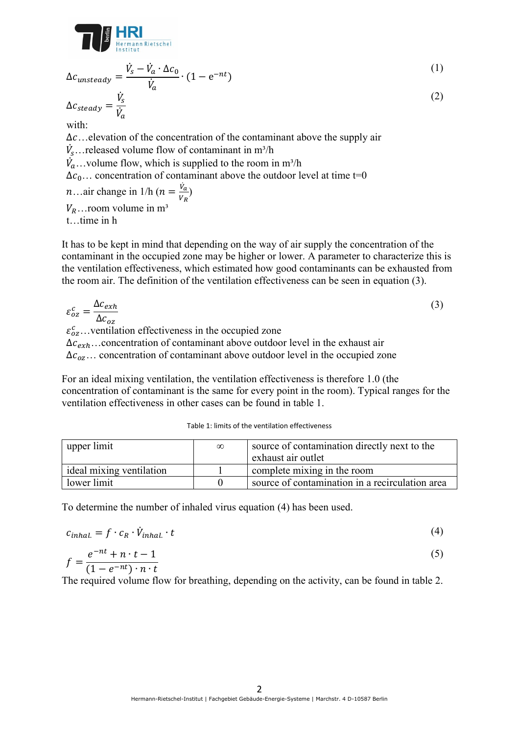

$$
\Delta c_{unsteady} = \frac{\dot{V}_s - \dot{V}_a \cdot \Delta c_0}{\dot{V}_a} \cdot (1 - e^{-nt})
$$
\n
$$
\Delta c_{steady} = \frac{\dot{V}_s}{\dot{V}_a}
$$
\nwith:  
\n
$$
\Delta c...
$$
 elevation of the concentration of the contaminant above the supply air  
\n
$$
\dot{V}_s...
$$
 released volume flow of contaminant in m<sup>3</sup>/h  
\n
$$
\dot{V}_a...
$$
volume flow, which is supplied to the room in m<sup>3</sup>/h

 $\Delta c_0$ ... concentration of contaminant above the outdoor level at time t=0

*n*...air change in 1/h ( $n = \frac{\dot{v}_a}{v_a}$  $\frac{v_a}{v_R}$ 

 $V_R$ ... room volume in m<sup>3</sup> t…time in h

It has to be kept in mind that depending on the way of air supply the concentration of the contaminant in the occupied zone may be higher or lower. A parameter to characterize this is the ventilation effectiveness, which estimated how good contaminants can be exhausted from the room air. The definition of the ventilation effectiveness can be seen in equation (3).

$$
\varepsilon_{oz}^c = \frac{\Delta c_{exh}}{\Delta c_{oz}}
$$
\n
$$
\varepsilon_{ox}^c
$$
\n
$$
\varepsilon_{exh}^c
$$
\n
$$
\Delta c_{exh}
$$
\n
$$
\Delta c_{exh}
$$
\n
$$
\varepsilon_{exh}
$$
\n
$$
\varepsilon_{exh}
$$
\n
$$
\varepsilon_{exh}
$$
\n(3)

 $\Delta c_{oz}$ ... concentration of contaminant above outdoor level in the occupied zone

For an ideal mixing ventilation, the ventilation effectiveness is therefore 1.0 (the concentration of contaminant is the same for every point in the room). Typical ranges for the ventilation effectiveness in other cases can be found in table 1.

| upper limit              | $\infty$ | source of contamination directly next to the<br>exhaust air outlet |
|--------------------------|----------|--------------------------------------------------------------------|
| ideal mixing ventilation |          | complete mixing in the room                                        |
| lower limit              |          | source of contamination in a recirculation area                    |

To determine the number of inhaled virus equation (4) has been used.

$$
c_{inhal.} = f \cdot c_R \cdot \dot{V}_{inhal.} \cdot t \tag{4}
$$

$$
f = \frac{e^{-nt} + n \cdot t - 1}{(1 - e^{-nt}) \cdot n \cdot t}
$$
\n<sup>(5)</sup>

The required volume flow for breathing, depending on the activity, can be found in table 2.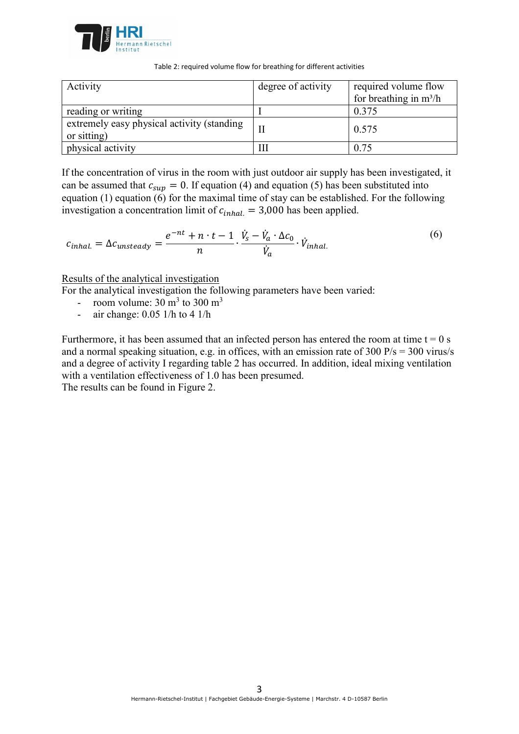

Table 2: required volume flow for breathing for different activities

| Activity                                                  | degree of activity | required volume flow<br>for breathing in $m^3/h$ |
|-----------------------------------------------------------|--------------------|--------------------------------------------------|
| reading or writing                                        |                    | 0.375                                            |
| extremely easy physical activity (standing<br>or sitting) |                    | 0.575                                            |
| physical activity                                         | Ш                  | 0.75                                             |

If the concentration of virus in the room with just outdoor air supply has been investigated, it can be assumed that  $c_{\text{sun}} = 0$ . If equation (4) and equation (5) has been substituted into equation (1) equation (6) for the maximal time of stay can be established. For the following investigation a concentration limit of  $c_{inhal.} = 3,000$  has been applied.

$$
c_{inhal.} = \Delta c_{unsteady} = \frac{e^{-nt} + n \cdot t - 1}{n} \cdot \frac{\dot{V}_s - \dot{V}_a \cdot \Delta c_0}{\dot{V}_a} \cdot \dot{V}_{inhal.}
$$
(6)

### Results of the analytical investigation

For the analytical investigation the following parameters have been varied:

- room volume:  $30 \text{ m}^3$  to  $300 \text{ m}^3$
- air change: 0.05 1/h to 4 1/h

Furthermore, it has been assumed that an infected person has entered the room at time  $t = 0$  s and a normal speaking situation, e.g. in offices, with an emission rate of 300 P/s = 300 virus/s and a degree of activity I regarding table 2 has occurred. In addition, ideal mixing ventilation with a ventilation effectiveness of 1.0 has been presumed.

The results can be found in Figure 2.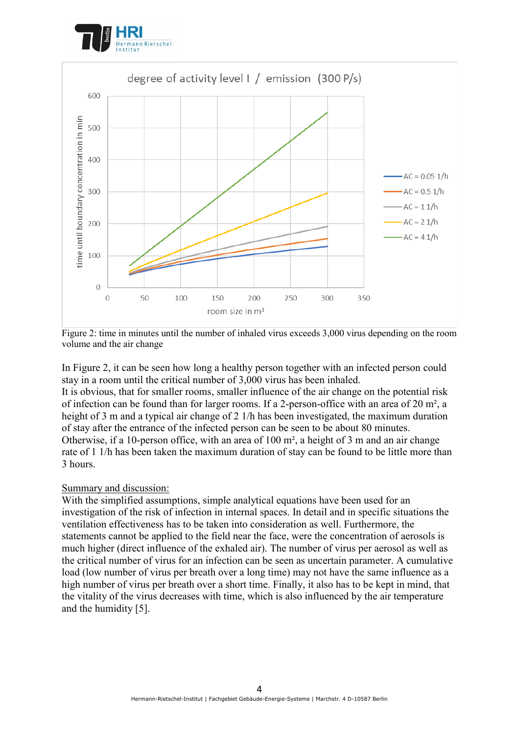



Figure 2: time in minutes until the number of inhaled virus exceeds 3,000 virus depending on the room volume and the air change

In Figure 2, it can be seen how long a healthy person together with an infected person could stay in a room until the critical number of 3,000 virus has been inhaled.

It is obvious, that for smaller rooms, smaller influence of the air change on the potential risk of infection can be found than for larger rooms. If a 2-person-office with an area of 20 m², a height of 3 m and a typical air change of 2 1/h has been investigated, the maximum duration of stay after the entrance of the infected person can be seen to be about 80 minutes. Otherwise, if a 10-person office, with an area of 100 m², a height of 3 m and an air change rate of 1 1/h has been taken the maximum duration of stay can be found to be little more than 3 hours.

### Summary and discussion:

With the simplified assumptions, simple analytical equations have been used for an investigation of the risk of infection in internal spaces. In detail and in specific situations the ventilation effectiveness has to be taken into consideration as well. Furthermore, the statements cannot be applied to the field near the face, were the concentration of aerosols is much higher (direct influence of the exhaled air). The number of virus per aerosol as well as the critical number of virus for an infection can be seen as uncertain parameter. A cumulative load (low number of virus per breath over a long time) may not have the same influence as a high number of virus per breath over a short time. Finally, it also has to be kept in mind, that the vitality of the virus decreases with time, which is also influenced by the air temperature and the humidity [5].